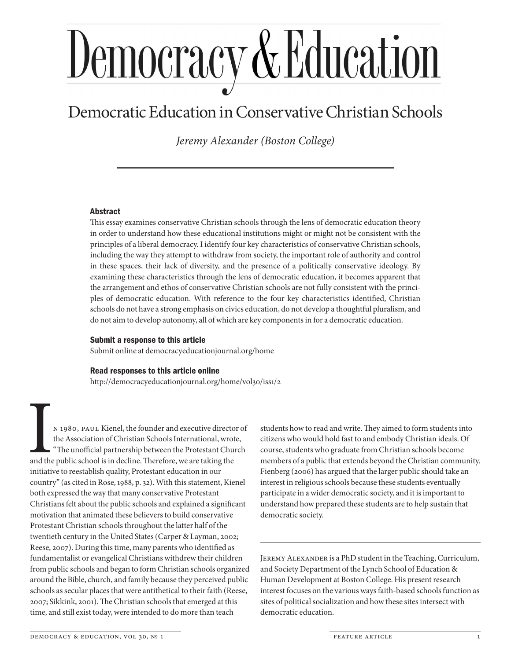# <u>Democracy & Education</u>

# Democratic Education in Conservative Christian Schools

*Jeremy Alexander (Boston College)*

# Abstract

This essay examines conservative Christian schools through the lens of democratic education theory in order to understand how these educational institutions might or might not be consistent with the principles of a liberal democracy. I identify four key characteristics of conservative Christian schools, including the way they attempt to withdraw from society, the important role of authority and control in these spaces, their lack of diversity, and the presence of a politically conservative ideology. By examining these characteristics through the lens of democratic education, it becomes apparent that the arrangement and ethos of conservative Christian schools are not fully consistent with the principles of democratic education. With reference to the four key characteristics identified, Christian schools do not have a strong emphasis on civics education, do not develop a thoughtful pluralism, and do not aim to develop autonomy, all of which are key components in for a democratic education.

#### Submit a response to this article

Submit online at democracyeducationjournal.org/home

#### Read responses to this article online

http://democracyeducationjournal.org/home/vol30/iss1/2

N 1980, PAUL Kienel, the founder and executive director of the Association of Christian Schools International, wrote, "The unofficial partnership between the Protestant Church and the public school is in decline. Therefore, we are taking the initiative to reestablish quality, Protestant education in our country" (as cited in Rose, 1988, p. 32). With this statement, Kienel both expressed the way that many conservative Protestant Christians felt about the public schools and explained a significant motivation that animated these believers to build conservative Protestant Christian schools throughout the latter half of the twentieth century in the United States (Carper & Layman, 2002; Reese, 2007). During this time, many parents who identified as fundamentalist or evangelical Christians withdrew their children from public schools and began to form Christian schools organized around the Bible, church, and family because they perceived public schools as secular places that were antithetical to their faith (Reese, 2007; Sikkink, 2001). The Christian schools that emerged at this time, and still exist today, were intended to do more than teach

students how to read and write. They aimed to form students into citizens who would hold fast to and embody Christian ideals. Of course, students who graduate from Christian schools become members of a public that extends beyond the Christian community. Fienberg (2006) has argued that the larger public should take an interest in religious schools because these students eventually participate in a wider democratic society, and it is important to understand how prepared these students are to help sustain that democratic society.

Jeremy Alexander is a PhD student in the Teaching, Curriculum, and Society Department of the Lynch School of Education & Human Development at Boston College. His present research interest focuses on the various ways faith-based schools function as sites of political socialization and how these sites intersect with democratic education.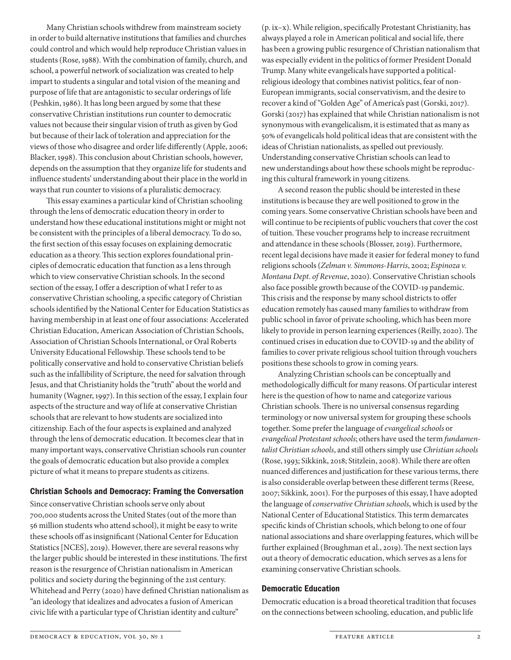Many Christian schools withdrew from mainstream society in order to build alternative institutions that families and churches could control and which would help reproduce Christian values in students (Rose, 1988). With the combination of family, church, and school, a powerful network of socialization was created to help impart to students a singular and total vision of the meaning and purpose of life that are antagonistic to secular orderings of life (Peshkin, 1986). It has long been argued by some that these conservative Christian institutions run counter to democratic values not because their singular vision of truth as given by God but because of their lack of toleration and appreciation for the views of those who disagree and order life differently (Apple, 2006; Blacker, 1998). This conclusion about Christian schools, however, depends on the assumption that they organize life for students and influence students' understanding about their place in the world in ways that run counter to visions of a pluralistic democracy.

This essay examines a particular kind of Christian schooling through the lens of democratic education theory in order to understand how these educational institutions might or might not be consistent with the principles of a liberal democracy. To do so, the first section of this essay focuses on explaining democratic education as a theory. This section explores foundational principles of democratic education that function as a lens through which to view conservative Christian schools. In the second section of the essay, I offer a description of what I refer to as conservative Christian schooling, a specific category of Christian schools identified by the National Center for Education Statistics as having membership in at least one of four associations: Accelerated Christian Education, American Association of Christian Schools, Association of Christian Schools International, or Oral Roberts University Educational Fellowship. These schools tend to be politically conservative and hold to conservative Christian beliefs such as the infallibility of Scripture, the need for salvation through Jesus, and that Christianity holds the "truth" about the world and humanity (Wagner, 1997). In this section of the essay, I explain four aspects of the structure and way of life at conservative Christian schools that are relevant to how students are socialized into citizenship. Each of the four aspects is explained and analyzed through the lens of democratic education. It becomes clear that in many important ways, conservative Christian schools run counter the goals of democratic education but also provide a complex picture of what it means to prepare students as citizens.

#### Christian Schools and Democracy: Framing the Conversation

Since conservative Christian schools serve only about 700,000 students across the United States (out of the more than 56 million students who attend school), it might be easy to write these schools off as insignificant (National Center for Education Statistics [NCES], 2019). However, there are several reasons why the larger public should be interested in these institutions. The first reason is the resurgence of Christian nationalism in American politics and society during the beginning of the 21st century. Whitehead and Perry (2020) have defined Christian nationalism as "an ideology that idealizes and advocates a fusion of American civic life with a particular type of Christian identity and culture"

(p. ix–x). While religion, specifically Protestant Christianity, has always played a role in American political and social life, there has been a growing public resurgence of Christian nationalism that was especially evident in the politics of former President Donald Trump. Many white evangelicals have supported a politicalreligious ideology that combines nativist politics, fear of non-European immigrants, social conservativism, and the desire to recover a kind of "Golden Age" of America's past (Gorski, 2017). Gorski (2017) has explained that while Christian nationalism is not synonymous with evangelicalism, it is estimated that as many as 50% of evangelicals hold political ideas that are consistent with the ideas of Christian nationalists, as spelled out previously. Understanding conservative Christian schools can lead to new understandings about how these schools might be reproducing this cultural framework in young citizens.

A second reason the public should be interested in these institutions is because they are well positioned to grow in the coming years. Some conservative Christian schools have been and will continue to be recipients of public vouchers that cover the cost of tuition. These voucher programs help to increase recruitment and attendance in these schools (Blosser, 2019). Furthermore, recent legal decisions have made it easier for federal money to fund religions schools (*Zelman v. Simmons-Harris*, 2002; *Espinoza v. Montana Dept. of Revenue*, 2020). Conservative Christian schools also face possible growth because of the COVID-19 pandemic. This crisis and the response by many school districts to offer education remotely has caused many families to withdraw from public school in favor of private schooling, which has been more likely to provide in person learning experiences (Reilly, 2020). The continued crises in education due to COVID-19 and the ability of families to cover private religious school tuition through vouchers positions these schools to grow in coming years.

Analyzing Christian schools can be conceptually and methodologically difficult for many reasons. Of particular interest here is the question of how to name and categorize various Christian schools. There is no universal consensus regarding terminology or now universal system for grouping these schools together. Some prefer the language of *evangelical schools* or *evangelical Protestant schools*; others have used the term *fundamentalist Christian schools*, and still others simply use *Christian schools* (Rose, 1993; Sikkink, 2018; Stitzlein, 2008). While there are often nuanced differences and justification for these various terms, there is also considerable overlap between these different terms (Reese, 2007; Sikkink, 2001). For the purposes of this essay, I have adopted the language of *conservative Christian schools*, which is used by the National Center of Educational Statistics. This term demarcates specific kinds of Christian schools, which belong to one of four national associations and share overlapping features, which will be further explained (Broughman et al., 2019). The next section lays out a theory of democratic education, which serves as a lens for examining conservative Christian schools.

#### Democratic Education

Democratic education is a broad theoretical tradition that focuses on the connections between schooling, education, and public life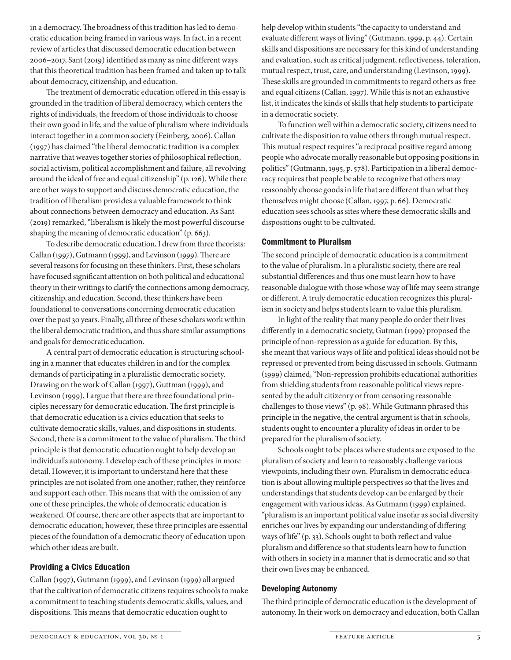in a democracy. The broadness of this tradition has led to democratic education being framed in various ways. In fact, in a recent review of articles that discussed democratic education between 2006–2017, Sant (2019) identified as many as nine different ways that this theoretical tradition has been framed and taken up to talk about democracy, citizenship, and education.

The treatment of democratic education offered in this essay is grounded in the tradition of liberal democracy, which centers the rights of individuals, the freedom of those individuals to choose their own good in life, and the value of pluralism where individuals interact together in a common society (Feinberg, 2006). Callan (1997) has claimed "the liberal democratic tradition is a complex narrative that weaves together stories of philosophical reflection, social activism, political accomplishment and failure, all revolving around the ideal of free and equal citizenship" (p. 126). While there are other ways to support and discuss democratic education, the tradition of liberalism provides a valuable framework to think about connections between democracy and education. As Sant (2019) remarked, "liberalism is likely the most powerful discourse shaping the meaning of democratic education" (p. 663).

To describe democratic education, I drew from three theorists: Callan (1997), Gutmann (1999), and Levinson (1999). There are several reasons for focusing on these thinkers. First, these scholars have focused significant attention on both political and educational theory in their writings to clarify the connections among democracy, citizenship, and education. Second, these thinkers have been foundational to conversations concerning democratic education over the past 30 years. Finally, all three of these scholars work within the liberal democratic tradition, and thus share similar assumptions and goals for democratic education.

A central part of democratic education is structuring schooling in a manner that educates children in and for the complex demands of participating in a pluralistic democratic society. Drawing on the work of Callan (1997), Guttman (1999), and Levinson (1999), I argue that there are three foundational principles necessary for democratic education. The first principle is that democratic education is a civics education that seeks to cultivate democratic skills, values, and dispositions in students. Second, there is a commitment to the value of pluralism. The third principle is that democratic education ought to help develop an individual's autonomy. I develop each of these principles in more detail. However, it is important to understand here that these principles are not isolated from one another; rather, they reinforce and support each other. This means that with the omission of any one of these principles, the whole of democratic education is weakened. Of course, there are other aspects that are important to democratic education; however, these three principles are essential pieces of the foundation of a democratic theory of education upon which other ideas are built.

#### Providing a Civics Education

Callan (1997), Gutmann (1999), and Levinson (1999) all argued that the cultivation of democratic citizens requires schools to make a commitment to teaching students democratic skills, values, and dispositions. This means that democratic education ought to

help develop within students "the capacity to understand and evaluate different ways of living" (Gutmann, 1999, p. 44). Certain skills and dispositions are necessary for this kind of understanding and evaluation, such as critical judgment, reflectiveness, toleration, mutual respect, trust, care, and understanding (Levinson, 1999). These skills are grounded in commitments to regard others as free and equal citizens (Callan, 1997). While this is not an exhaustive list, it indicates the kinds of skills that help students to participate in a democratic society.

To function well within a democratic society, citizens need to cultivate the disposition to value others through mutual respect. This mutual respect requires "a reciprocal positive regard among people who advocate morally reasonable but opposing positions in politics" (Gutmann, 1995, p. 578). Participation in a liberal democracy requires that people be able to recognize that others may reasonably choose goods in life that are different than what they themselves might choose (Callan, 1997, p. 66). Democratic education sees schools as sites where these democratic skills and dispositions ought to be cultivated.

#### Commitment to Pluralism

The second principle of democratic education is a commitment to the value of pluralism. In a pluralistic society, there are real substantial differences and thus one must learn how to have reasonable dialogue with those whose way of life may seem strange or different. A truly democratic education recognizes this pluralism in society and helps students learn to value this pluralism.

In light of the reality that many people do order their lives differently in a democratic society, Gutman (1999) proposed the principle of non-repression as a guide for education. By this, she meant that various ways of life and political ideas should not be repressed or prevented from being discussed in schools. Gutmann (1999) claimed, "Non-repression prohibits educational authorities from shielding students from reasonable political views represented by the adult citizenry or from censoring reasonable challenges to those views" (p. 98). While Gutmann phrased this principle in the negative, the central argument is that in schools, students ought to encounter a plurality of ideas in order to be prepared for the pluralism of society.

Schools ought to be places where students are exposed to the pluralism of society and learn to reasonably challenge various viewpoints, including their own. Pluralism in democratic education is about allowing multiple perspectives so that the lives and understandings that students develop can be enlarged by their engagement with various ideas. As Gutmann (1999) explained, "pluralism is an important political value insofar as social diversity enriches our lives by expanding our understanding of differing ways of life" (p. 33). Schools ought to both reflect and value pluralism and difference so that students learn how to function with others in society in a manner that is democratic and so that their own lives may be enhanced.

# Developing Autonomy

The third principle of democratic education is the development of autonomy. In their work on democracy and education, both Callan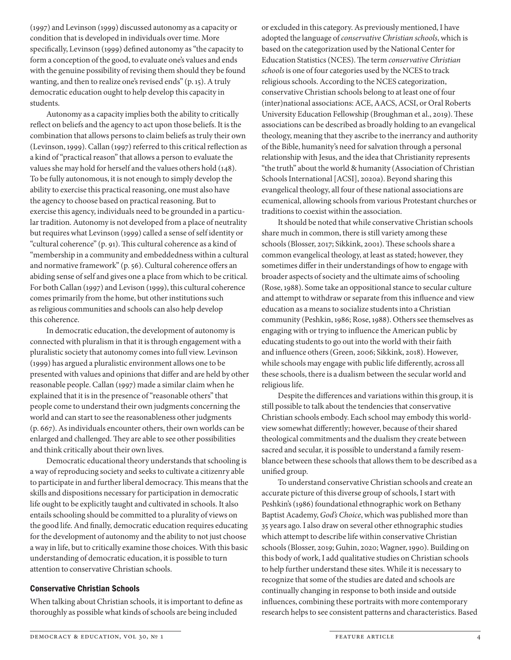(1997) and Levinson (1999) discussed autonomy as a capacity or condition that is developed in individuals over time. More specifically, Levinson (1999) defined autonomy as "the capacity to form a conception of the good, to evaluate one's values and ends with the genuine possibility of revising them should they be found wanting, and then to realize one's revised ends" (p. 15). A truly democratic education ought to help develop this capacity in students.

Autonomy as a capacity implies both the ability to critically reflect on beliefs and the agency to act upon those beliefs. It is the combination that allows persons to claim beliefs as truly their own (Levinson, 1999). Callan (1997) referred to this critical reflection as a kind of "practical reason" that allows a person to evaluate the values she may hold for herself and the values others hold (148). To be fully autonomous, it is not enough to simply develop the ability to exercise this practical reasoning, one must also have the agency to choose based on practical reasoning. But to exercise this agency, individuals need to be grounded in a particular tradition. Autonomy is not developed from a place of neutrality but requires what Levinson (1999) called a sense of self identity or "cultural coherence" (p. 91). This cultural coherence as a kind of "membership in a community and embeddedness within a cultural and normative framework" (p. 56). Cultural coherence offers an abiding sense of self and gives one a place from which to be critical. For both Callan (1997) and Levison (1999), this cultural coherence comes primarily from the home, but other institutions such as religious communities and schools can also help develop this coherence.

In democratic education, the development of autonomy is connected with pluralism in that it is through engagement with a pluralistic society that autonomy comes into full view. Levinson (1999) has argued a pluralistic environment allows one to be presented with values and opinions that differ and are held by other reasonable people. Callan (1997) made a similar claim when he explained that it is in the presence of "reasonable others" that people come to understand their own judgments concerning the world and can start to see the reasonableness other judgments (p. 667). As individuals encounter others, their own worlds can be enlarged and challenged. They are able to see other possibilities and think critically about their own lives.

Democratic educational theory understands that schooling is a way of reproducing society and seeks to cultivate a citizenry able to participate in and further liberal democracy. This means that the skills and dispositions necessary for participation in democratic life ought to be explicitly taught and cultivated in schools. It also entails schooling should be committed to a plurality of views on the good life. And finally, democratic education requires educating for the development of autonomy and the ability to not just choose a way in life, but to critically examine those choices. With this basic understanding of democratic education, it is possible to turn attention to conservative Christian schools.

### Conservative Christian Schools

When talking about Christian schools, it is important to define as thoroughly as possible what kinds of schools are being included

or excluded in this category. As previously mentioned, I have adopted the language of *conservative Christian schools*, which is based on the categorization used by the National Center for Education Statistics (NCES). The term *conservative Christian schools* is one of four categories used by the NCES to track religious schools. According to the NCES categorization, conservative Christian schools belong to at least one of four (inter)national associations: ACE, AACS, ACSI, or Oral Roberts University Education Fellowship (Broughman et al., 2019). These associations can be described as broadly holding to an evangelical theology, meaning that they ascribe to the inerrancy and authority of the Bible, humanity's need for salvation through a personal relationship with Jesus, and the idea that Christianity represents "the truth" about the world & humanity (Association of Christian Schools International [ACSI], 2020a). Beyond sharing this evangelical theology, all four of these national associations are ecumenical, allowing schools from various Protestant churches or traditions to coexist within the association.

It should be noted that while conservative Christian schools share much in common, there is still variety among these schools (Blosser, 2017; Sikkink, 2001). These schools share a common evangelical theology, at least as stated; however, they sometimes differ in their understandings of how to engage with broader aspects of society and the ultimate aims of schooling (Rose, 1988). Some take an oppositional stance to secular culture and attempt to withdraw or separate from this influence and view education as a means to socialize students into a Christian community (Peshkin, 1986; Rose, 1988). Others see themselves as engaging with or trying to influence the American public by educating students to go out into the world with their faith and influence others (Green, 2006; Sikkink, 2018). However, while schools may engage with public life differently, across all these schools, there is a dualism between the secular world and religious life.

Despite the differences and variations within this group, it is still possible to talk about the tendencies that conservative Christian schools embody. Each school may embody this worldview somewhat differently; however, because of their shared theological commitments and the dualism they create between sacred and secular, it is possible to understand a family resemblance between these schools that allows them to be described as a unified group.

To understand conservative Christian schools and create an accurate picture of this diverse group of schools, I start with Peshkin's (1986) foundational ethnographic work on Bethany Baptist Academy, *God's Choice*, which was published more than 35 years ago. I also draw on several other ethnographic studies which attempt to describe life within conservative Christian schools (Blosser, 2019; Guhin, 2020; Wagner, 1990). Building on this body of work, I add qualitative studies on Christian schools to help further understand these sites. While it is necessary to recognize that some of the studies are dated and schools are continually changing in response to both inside and outside influences, combining these portraits with more contemporary research helps to see consistent patterns and characteristics. Based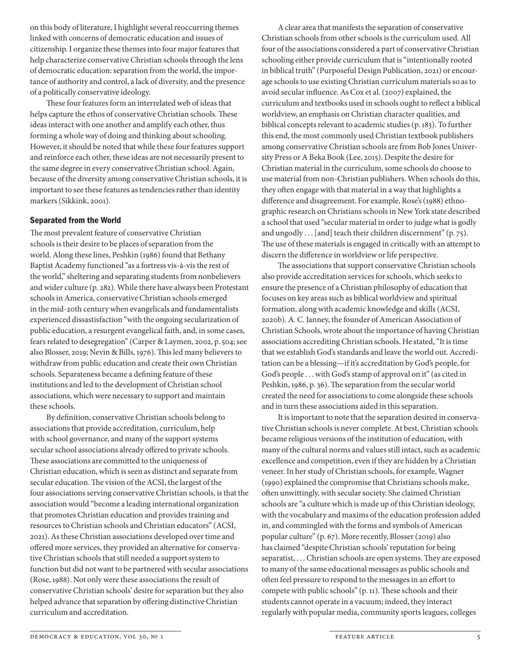on this body of literature, I highlight several reoccurring themes linked with concerns of democratic education and issues of citizenship. I organize these themes into four major features that help characterize conservative Christian schools through the lens of democratic education: separation from the world, the importance of authority and control, a lack of diversity, and the presence of a politically conservative ideology.

These four features form an interrelated web of ideas that helps capture the ethos of conservative Christian schools. These ideas interact with one another and amplify each other, thus forming a whole way of doing and thinking about schooling. However, it should be noted that while these four features support and reinforce each other, these ideas are not necessarily present to the same degree in every conservative Christian school. Again, because of the diversity among conservative Christian schools, it is important to see these features as tendencies rather than identity markers (Sikkink, 2001).

#### Separated from the World

The most prevalent feature of conservative Christian schools is their desire to be places of separation from the world. Along these lines, Peshkin (1986) found that Bethany Baptist Academy functioned "as a fortress vis-à-vis the rest of the world," sheltering and separating students from nonbelievers and wider culture (p. 282). While there have always been Protestant schools in America, conservative Christian schools emerged in the mid-20th century when evangelicals and fundamentalists experienced dissastisfaction "with the ongoing secularization of public education, a resurgent evangelical faith, and, in some cases, fears related to desegregation" (Carper & Laymen, 2002, p. 504; see also Blosser, 2019; Nevin & Bills, 1976). This led many believers to withdraw from public education and create their own Christian schools. Separateness became a defining feature of these institutions and led to the development of Christian school associations, which were necessary to support and maintain these schools.

By definition, conservative Christian schools belong to associations that provide accreditation, curriculum, help with school governance, and many of the support systems secular school associations already offered to private schools. These associations are committed to the uniqueness of Christian education, which is seen as distinct and separate from secular education. The vision of the ACSI, the largest of the four associations serving conservative Christian schools, is that the association would "become a leading international organization that promotes Christian education and provides training and resources to Christian schools and Christian educators" (ACSI, 2021). As these Christian associations developed over time and offered more services, they provided an alternative for conservative Christian schools that still needed a support system to function but did not want to be partnered with secular associations (Rose, 1988). Not only were these associations the result of conservative Christian schools' desire for separation but they also helped advance that separation by offering distinctive Christian curriculum and accreditation.

A clear area that manifests the separation of conservative Christian schools from other schools is the curriculum used. All four of the associations considered a part of conservative Christian schooling either provide curriculum that is "intentionally rooted in biblical truth" (Purposeful Design Publication, 2021) or encourage schools to use existing Christian curriculum materials so as to avoid secular influence. As Cox et al. (2007) explained, the curriculum and textbooks used in schools ought to reflect a biblical worldview, an emphasis on Christian character qualities, and biblical concepts relevant to academic studies (p. 183). To further this end, the most commonly used Christian textbook publishers among conservative Christian schools are from Bob Jones University Press or A Beka Book (Lee, 2015). Despite the desire for Christian material in the curriculum, some schools do choose to use material from non-Christian publishers. When schools do this, they often engage with that material in a way that highlights a difference and disagreement. For example, Rose's (1988) ethnographic research on Christians schools in New York state described a school that used "secular material in order to judge what is godly and ungodly . . . [and] teach their children discernment" (p. 75). The use of these materials is engaged in critically with an attempt to discern the difference in worldview or life perspective.

The associations that support conservative Christian schools also provide accreditation services for schools, which seeks to ensure the presence of a Christian philosophy of education that focuses on key areas such as biblical worldview and spiritual formation, along with academic knowledge and skills (ACSI, 2020b). A. C. Janney, the founder of American Association of Christian Schools, wrote about the importance of having Christian associations accrediting Christian schools. He stated, "It is time that we establish God's standards and leave the world out. Accreditation can be a blessing—if it's accreditation by God's people, for God's people . . . with God's stamp of approval on it" (as cited in Peshkin, 1986, p. 36). The separation from the secular world created the need for associations to come alongside these schools and in turn these associations aided in this separation.

It is important to note that the separation desired in conservative Christian schools is never complete. At best, Christian schools became religious versions of the institution of education, with many of the cultural norms and values still intact, such as academic excellence and competition, even if they are hidden by a Christian veneer. In her study of Christian schools, for example, Wagner (1990) explained the compromise that Christians schools make, often unwittingly, with secular society. She claimed Christian schools are "a culture which is made up of this Christian ideology, with the vocabulary and maxims of the education profession added in, and commingled with the forms and symbols of American popular culture" (p. 67). More recently, Blosser (2019) also has claimed "despite Christian schools' reputation for being separatist, . . . Christian schools are open systems. They are exposed to many of the same educational messages as public schools and often feel pressure to respond to the messages in an effort to compete with public schools" (p. 11). These schools and their students cannot operate in a vacuum; indeed, they interact regularly with popular media, community sports leagues, colleges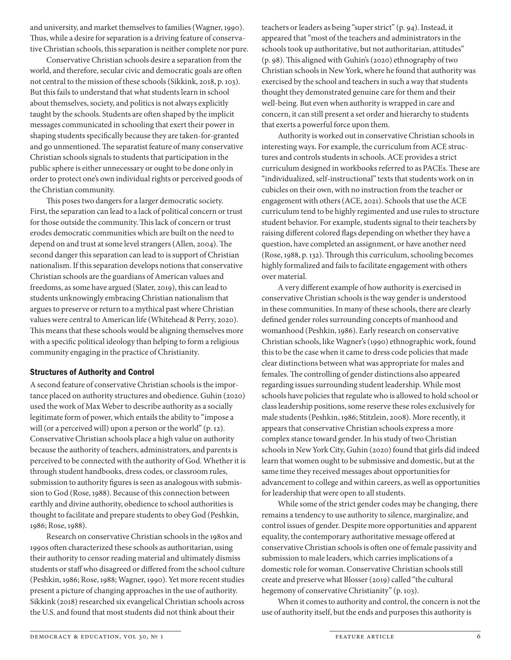and university, and market themselves to families (Wagner, 1990). Thus, while a desire for separation is a driving feature of conservative Christian schools, this separation is neither complete nor pure.

Conservative Christian schools desire a separation from the world, and therefore, secular civic and democratic goals are often not central to the mission of these schools (Sikkink, 2018, p. 103). But this fails to understand that what students learn in school about themselves, society, and politics is not always explicitly taught by the schools. Students are often shaped by the implicit messages communicated in schooling that exert their power in shaping students specifically because they are taken-for-granted and go unmentioned. The separatist feature of many conservative Christian schools signals to students that participation in the public sphere is either unnecessary or ought to be done only in order to protect one's own individual rights or perceived goods of the Christian community.

This poses two dangers for a larger democratic society. First, the separation can lead to a lack of political concern or trust for those outside the community. This lack of concern or trust erodes democratic communities which are built on the need to depend on and trust at some level strangers (Allen, 2004). The second danger this separation can lead to is support of Christian nationalism. If this separation develops notions that conservative Christian schools are the guardians of American values and freedoms, as some have argued (Slater, 2019), this can lead to students unknowingly embracing Christian nationalism that argues to preserve or return to a mythical past where Christian values were central to American life (Whitehead & Perry, 2020). This means that these schools would be aligning themselves more with a specific political ideology than helping to form a religious community engaging in the practice of Christianity.

# Structures of Authority and Control

A second feature of conservative Christian schools is the importance placed on authority structures and obedience. Guhin (2020) used the work of Max Weber to describe authority as a socially legitimate form of power, which entails the ability to "impose a will (or a perceived will) upon a person or the world" (p. 12). Conservative Christian schools place a high value on authority because the authority of teachers, administrators, and parents is perceived to be connected with the authority of God. Whether it is through student handbooks, dress codes, or classroom rules, submission to authority figures is seen as analogous with submission to God (Rose, 1988). Because of this connection between earthly and divine authority, obedience to school authorities is thought to facilitate and prepare students to obey God (Peshkin, 1986; Rose, 1988).

Research on conservative Christian schools in the 1980s and 1990s often characterized these schools as authoritarian, using their authority to censor reading material and ultimately dismiss students or staff who disagreed or differed from the school culture (Peshkin, 1986; Rose, 1988; Wagner, 1990). Yet more recent studies present a picture of changing approaches in the use of authority. Sikkink (2018) researched six evangelical Christian schools across the U.S. and found that most students did not think about their

teachers or leaders as being "super strict" (p. 94). Instead, it appeared that "most of the teachers and administrators in the schools took up authoritative, but not authoritarian, attitudes" (p. 98). This aligned with Guhin's (2020) ethnography of two Christian schools in New York, where he found that authority was exercised by the school and teachers in such a way that students thought they demonstrated genuine care for them and their well-being. But even when authority is wrapped in care and concern, it can still present a set order and hierarchy to students that exerts a powerful force upon them.

Authority is worked out in conservative Christian schools in interesting ways. For example, the curriculum from ACE structures and controls students in schools. ACE provides a strict curriculum designed in workbooks referred to as PACEs. These are "individualized, self-instructional" texts that students work on in cubicles on their own, with no instruction from the teacher or engagement with others (ACE, 2021). Schools that use the ACE curriculum tend to be highly regimented and use rules to structure student behavior. For example, students signal to their teachers by raising different colored flags depending on whether they have a question, have completed an assignment, or have another need (Rose, 1988, p. 132). Through this curriculum, schooling becomes highly formalized and fails to facilitate engagement with others over material.

A very different example of how authority is exercised in conservative Christian schools is the way gender is understood in these communities. In many of these schools, there are clearly defined gender roles surrounding concepts of manhood and womanhood (Peshkin, 1986). Early research on conservative Christian schools, like Wagner's (1990) ethnographic work, found this to be the case when it came to dress code policies that made clear distinctions between what was appropriate for males and females. The controlling of gender distinctions also appeared regarding issues surrounding student leadership. While most schools have policies that regulate who is allowed to hold school or class leadership positions, some reserve these roles exclusively for male students (Peshkin, 1986; Stitzlein, 2008). More recently, it appears that conservative Christian schools express a more complex stance toward gender. In his study of two Christian schools in New York City, Guhin (2020) found that girls did indeed learn that women ought to be submissive and domestic, but at the same time they received messages about opportunities for advancement to college and within careers, as well as opportunities for leadership that were open to all students.

While some of the strict gender codes may be changing, there remains a tendency to use authority to silence, marginalize, and control issues of gender. Despite more opportunities and apparent equality, the contemporary authoritative message offered at conservative Christian schools is often one of female passivity and submission to male leaders, which carries implications of a domestic role for woman. Conservative Christian schools still create and preserve what Blosser (2019) called "the cultural hegemony of conservative Christianity" (p. 103).

When it comes to authority and control, the concern is not the use of authority itself, but the ends and purposes this authority is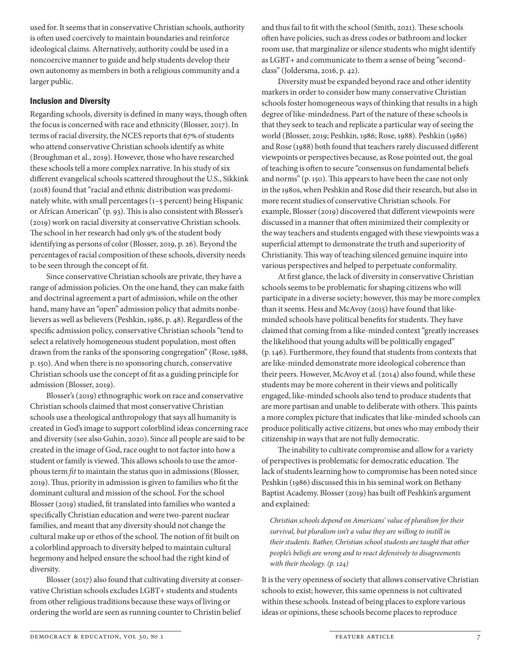used for. It seems that in conservative Christian schools, authority is often used coercively to maintain boundaries and reinforce ideological claims. Alternatively, authority could be used in a noncoercive manner to guide and help students develop their own autonomy as members in both a religious community and a larger public.

# Inclusion and Diversity

Regarding schools, diversity is defined in many ways, though often the focus is concerned with race and ethnicity (Blosser, 2017). In terms of racial diversity, the NCES reports that 67% of students who attend conservative Christian schools identify as white (Broughman et al., 2019). However, those who have researched these schools tell a more complex narrative. In his study of six different evangelical schools scattered throughout the U.S., Sikkink (2018) found that "racial and ethnic distribution was predominately white, with small percentages (1–5 percent) being Hispanic or African American" (p. 93). This is also consistent with Blosser's (2019) work on racial diversity at conservative Christian schools. The school in her research had only 9% of the student body identifying as persons of color (Blosser, 2019, p. 26). Beyond the percentages of racial composition of these schools, diversity needs to be seen through the concept of fit.

Since conservative Christian schools are private, they have a range of admission policies. On the one hand, they can make faith and doctrinal agreement a part of admission, while on the other hand, many have an "open" admission policy that admits nonbelievers as well as believers (Peshkin, 1986, p. 48). Regardless of the specific admission policy, conservative Christian schools "tend to select a relatively homogeneous student population, most often drawn from the ranks of the sponsoring congregation" (Rose, 1988, p. 150). And when there is no sponsoring church, conservative Christian schools use the concept of fit as a guiding principle for admission (Blosser, 2019).

Blosser's (2019) ethnographic work on race and conservative Christian schools claimed that most conservative Christian schools use a theological anthropology that says all humanity is created in God's image to support colorblind ideas concerning race and diversity (see also Guhin, 2020). Since all people are said to be created in the image of God, race ought to not factor into how a student or family is viewed. This allows schools to use the amorphous term *fit* to maintain the status quo in admissions (Blosser, 2019). Thus, priority in admission is given to families who fit the dominant cultural and mission of the school. For the school Blosser (2019) studied, fit translated into families who wanted a specifically Christian education and were two-parent nuclear families, and meant that any diversity should not change the cultural make up or ethos of the school. The notion of fit built on a colorblind approach to diversity helped to maintain cultural hegemony and helped ensure the school had the right kind of diversity.

Blosser (2017) also found that cultivating diversity at conservative Christian schools excludes LGBT+ students and students from other religious traditions because these ways of living or ordering the world are seen as running counter to Christin belief

and thus fail to fit with the school (Smith, 2021). These schools often have policies, such as dress codes or bathroom and locker room use, that marginalize or silence students who might identify as LGBT+ and communicate to them a sense of being "secondclass" (Joldersma, 2016, p. 42).

Diversity must be expanded beyond race and other identity markers in order to consider how many conservative Christian schools foster homogeneous ways of thinking that results in a high degree of like-mindedness. Part of the nature of these schools is that they seek to teach and replicate a particular way of seeing the world (Blosser, 2019; Peshkin, 1986; Rose, 1988). Peshkin (1986) and Rose (1988) both found that teachers rarely discussed different viewpoints or perspectives because, as Rose pointed out, the goal of teaching is often to secure "consensus on fundamental beliefs and norms" (p. 150). This appears to have been the case not only in the 1980s, when Peshkin and Rose did their research, but also in more recent studies of conservative Christian schools. For example, Blosser (2019) discovered that different viewpoints were discussed in a manner that often minimized their complexity or the way teachers and students engaged with these viewpoints was a superficial attempt to demonstrate the truth and superiority of Christianity. This way of teaching silenced genuine inquire into various perspectives and helped to perpetuate conformality.

At first glance, the lack of diversity in conservative Christian schools seems to be problematic for shaping citizens who will participate in a diverse society; however, this may be more complex than it seems. Hess and McAvoy (2015) have found that likeminded schools have political benefits for students. They have claimed that coming from a like-minded context "greatly increases the likelihood that young adults will be politically engaged" (p. 146). Furthermore, they found that students from contexts that are like-minded demonstrate more ideological coherence than their peers. However, McAvoy et al. (2014) also found, while these students may be more coherent in their views and politically engaged, like-minded schools also tend to produce students that are more partisan and unable to deliberate with others. This paints a more complex picture that indicates that like-minded schools can produce politically active citizens, but ones who may embody their citizenship in ways that are not fully democratic.

The inability to cultivate compromise and allow for a variety of perspectives is problematic for democratic education. The lack of students learning how to compromise has been noted since Peshkin (1986) discussed this in his seminal work on Bethany Baptist Academy. Blosser (2019) has built off Peshkin's argument and explained:

*Christian schools depend on Americans' value of pluralism for their survival, but pluralism isn't a value they are willing to instill in their students. Rather, Christian school students are taught that other people's beliefs are wrong and to react defensively to disagreements with their theology. (p. 124)*

It is the very openness of society that allows conservative Christian schools to exist; however, this same openness is not cultivated within these schools. Instead of being places to explore various ideas or opinions, these schools become places to reproduce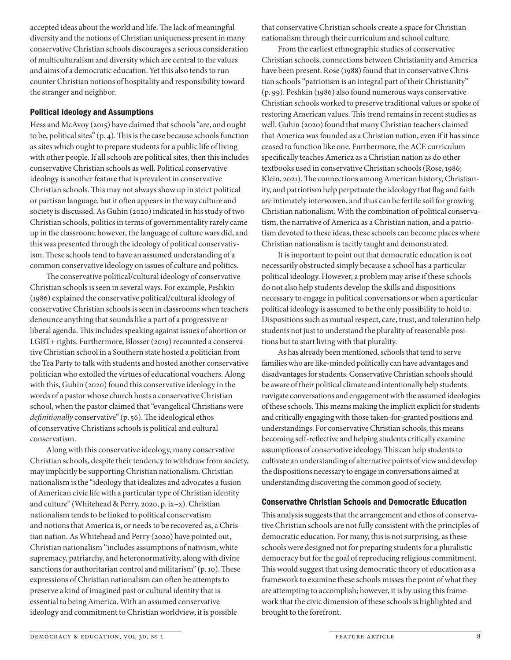accepted ideas about the world and life. The lack of meaningful diversity and the notions of Christian uniqueness present in many conservative Christian schools discourages a serious consideration of multiculturalism and diversity which are central to the values and aims of a democratic education. Yet this also tends to run counter Christian notions of hospitality and responsibility toward the stranger and neighbor.

### Political Ideology and Assumptions

Hess and McAvoy (2015) have claimed that schools "are, and ought to be, political sites" (p. 4). This is the case because schools function as sites which ought to prepare students for a public life of living with other people. If all schools are political sites, then this includes conservative Christian schools as well. Political conservative ideology is another feature that is prevalent in conservative Christian schools. This may not always show up in strict political or partisan language, but it often appears in the way culture and society is discussed. As Guhin (2020) indicated in his study of two Christian schools, politics in terms of governmentality rarely came up in the classroom; however, the language of culture wars did, and this was presented through the ideology of political conservativism. These schools tend to have an assumed understanding of a common conservative ideology on issues of culture and politics.

The conservative political/cultural ideology of conservative Christian schools is seen in several ways. For example, Peshkin (1986) explained the conservative political/cultural ideology of conservative Christian schools is seen in classrooms when teachers denounce anything that sounds like a part of a progressive or liberal agenda. This includes speaking against issues of abortion or LGBT+ rights. Furthermore, Blosser (2019) recounted a conservative Christian school in a Southern state hosted a politician from the Tea Party to talk with students and hosted another conservative politician who extolled the virtues of educational vouchers. Along with this, Guhin (2020) found this conservative ideology in the words of a pastor whose church hosts a conservative Christian school, when the pastor claimed that "evangelical Christians were *definitionally* conservative" (p. 56). The ideological ethos of conservative Christians schools is political and cultural conservatism.

Along with this conservative ideology, many conservative Christian schools, despite their tendency to withdraw from society, may implicitly be supporting Christian nationalism. Christian nationalism is the "ideology that idealizes and advocates a fusion of American civic life with a particular type of Christian identity and culture" (Whitehead & Perry, 2020, p. ix–x). Christian nationalism tends to be linked to political conservatism and notions that America is, or needs to be recovered as, a Christian nation. As Whitehead and Perry (2020) have pointed out, Christian nationalism "includes assumptions of nativism, white supremacy, patriarchy, and heteronormativity, along with divine sanctions for authoritarian control and militarism" (p. 10). These expressions of Christian nationalism can often be attempts to preserve a kind of imagined past or cultural identity that is essential to being America. With an assumed conservative ideology and commitment to Christian worldview, it is possible

that conservative Christian schools create a space for Christian nationalism through their curriculum and school culture.

From the earliest ethnographic studies of conservative Christian schools, connections between Christianity and America have been present. Rose (1988) found that in conservative Christian schools "patriotism is an integral part of their Christianity" (p. 99). Peshkin (1986) also found numerous ways conservative Christian schools worked to preserve traditional values or spoke of restoring American values. This trend remains in recent studies as well. Guhin (2020) found that many Christian teachers claimed that America was founded as a Christian nation, even if it has since ceased to function like one. Furthermore, the ACE curriculum specifically teaches America as a Christian nation as do other textbooks used in conservative Christian schools (Rose, 1986; Klein, 2021). The connections among American history, Christianity, and patriotism help perpetuate the ideology that flag and faith are intimately interwoven, and thus can be fertile soil for growing Christian nationalism. With the combination of political conservatism, the narrative of America as a Christian nation, and a patriotism devoted to these ideas, these schools can become places where Christian nationalism is tacitly taught and demonstrated.

It is important to point out that democratic education is not necessarily obstructed simply because a school has a particular political ideology. However, a problem may arise if these schools do not also help students develop the skills and dispositions necessary to engage in political conversations or when a particular political ideology is assumed to be the only possibility to hold to. Dispositions such as mutual respect, care, trust, and toleration help students not just to understand the plurality of reasonable positions but to start living with that plurality.

As has already been mentioned, schools that tend to serve families who are like-minded politically can have advantages and disadvantages for students. Conservative Christian schools should be aware of their political climate and intentionally help students navigate conversations and engagement with the assumed ideologies of these schools. This means making the implicit explicit for students and critically engaging with those taken-for-granted positions and understandings. For conservative Christian schools, this means becoming self-reflective and helping students critically examine assumptions of conservative ideology. This can help students to cultivate an understanding of alternative points of view and develop the dispositions necessary to engage in conversations aimed at understanding discovering the common good of society.

#### Conservative Christian Schools and Democratic Education

This analysis suggests that the arrangement and ethos of conservative Christian schools are not fully consistent with the principles of democratic education. For many, this is not surprising, as these schools were designed not for preparing students for a pluralistic democracy but for the goal of reproducing religious commitment. This would suggest that using democratic theory of education as a framework to examine these schools misses the point of what they are attempting to accomplish; however, it is by using this framework that the civic dimension of these schools is highlighted and brought to the forefront.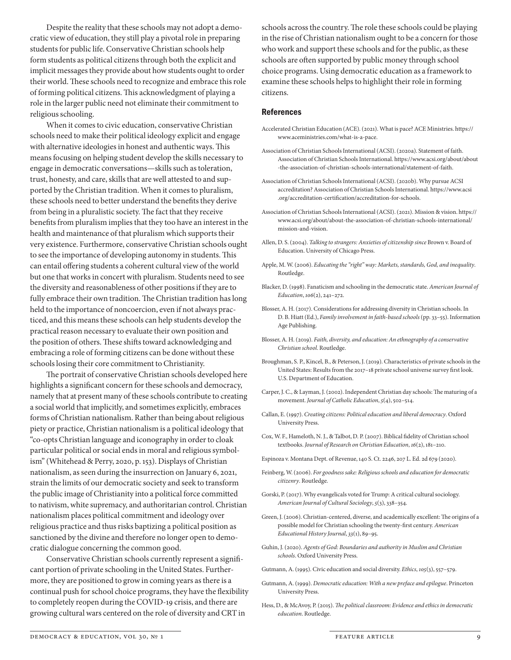Despite the reality that these schools may not adopt a democratic view of education, they still play a pivotal role in preparing students for public life. Conservative Christian schools help form students as political citizens through both the explicit and implicit messages they provide about how students ought to order their world. These schools need to recognize and embrace this role of forming political citizens. This acknowledgment of playing a role in the larger public need not eliminate their commitment to religious schooling.

When it comes to civic education, conservative Christian schools need to make their political ideology explicit and engage with alternative ideologies in honest and authentic ways. This means focusing on helping student develop the skills necessary to engage in democratic conversations—skills such as toleration, trust, honesty, and care, skills that are well attested to and supported by the Christian tradition. When it comes to pluralism, these schools need to better understand the benefits they derive from being in a pluralistic society. The fact that they receive benefits from pluralism implies that they too have an interest in the health and maintenance of that pluralism which supports their very existence. Furthermore, conservative Christian schools ought to see the importance of developing autonomy in students. This can entail offering students a coherent cultural view of the world but one that works in concert with pluralism. Students need to see the diversity and reasonableness of other positions if they are to fully embrace their own tradition. The Christian tradition has long held to the importance of noncoercion, even if not always practiced, and this means these schools can help students develop the practical reason necessary to evaluate their own position and the position of others. These shifts toward acknowledging and embracing a role of forming citizens can be done without these schools losing their core commitment to Christianity.

The portrait of conservative Christian schools developed here highlights a significant concern for these schools and democracy, namely that at present many of these schools contribute to creating a social world that implicitly, and sometimes explicitly, embraces forms of Christian nationalism. Rather than being about religious piety or practice, Christian nationalism is a political ideology that "co-opts Christian language and iconography in order to cloak particular political or social ends in moral and religious symbolism" (Whitehead & Perry, 2020, p. 153). Displays of Christian nationalism, as seen during the insurrection on January 6, 2021, strain the limits of our democratic society and seek to transform the public image of Christianity into a political force committed to nativism, white supremacy, and authoritarian control. Christian nationalism places political commitment and ideology over religious practice and thus risks baptizing a political position as sanctioned by the divine and therefore no longer open to democratic dialogue concerning the common good.

Conservative Christian schools currently represent a significant portion of private schooling in the United States. Furthermore, they are positioned to grow in coming years as there is a continual push for school choice programs, they have the flexibility to completely reopen during the COVID-19 crisis, and there are growing cultural wars centered on the role of diversity and CRT in

schools across the country. The role these schools could be playing in the rise of Christian nationalism ought to be a concern for those who work and support these schools and for the public, as these schools are often supported by public money through school choice programs. Using democratic education as a framework to examine these schools helps to highlight their role in forming citizens.

#### **References**

- Accelerated Christian Education (ACE). (2021). What is pace? ACE Ministries. https:// www.aceministries.com/what-is-a-pace.
- Association of Christian Schools International (ACSI). (2020a). Statement of faith. Association of Christian Schools International. https://www.acsi.org/about/about -the-association-of-christian-schools-international/statement-of-faith.
- Association of Christian Schools International (ACSI). (2020b). Why pursue ACSI accreditation? Association of Christian Schools International. https://www.acsi .org/accreditation-certification/accreditation-for-schools.
- Association of Christian Schools International (ACSI). (2021). Mission & vision. https:// www.acsi.org/about/about-the-association-of-christian-schools-international/ mission-and-vision.
- Allen, D. S. (2004). *Talking to strangers: Anxieties of citizenship since* Brown v. Board of Education. University of Chicago Press.
- Apple, M. W. (2006). *Educating the "right" way: Markets, standards, God, and inequality*. Routledge.
- Blacker, D. (1998). Fanaticism and schooling in the democratic state. *American Journal of Education*, *106*(2), 241–272.
- Blosser, A. H. (2017). Considerations for addressing diversity in Christian schools. In D. B. Hiatt (Ed.), *Family involvement in faith-based schools* (pp. 33–55). Information Age Publishing.
- Blosser, A. H. (2019). *Faith, diversity, and education: An ethnography of a conservative Christian school*. Routledge.
- Broughman, S. P., Kincel, B., & Peterson, J. (2019). Characteristics of private schools in the United States: Results from the 2017–18 private school universe survey first look. U.S. Department of Education.
- Carper, J. C., & Layman, J. (2002). Independent Christian day schools: The maturing of a movement. *Journal of Catholic Education*, *5*(4), 502–514.
- Callan, E. (1997). *Creating citizens: Political education and liberal democracy*. Oxford University Press.
- Cox, W. F., Hameloth, N. J., & Talbot, D. P. (2007). Biblical fidelity of Christian school textbooks. *Journal of Research on Christian Education*, *16*(2), 181–210.
- Espinoza v. Montana Dept. of Revenue, 140 S. Ct. 2246, 207 L. Ed. 2d 679 (2020).
- Feinberg, W. (2006). *For goodness sake: Religious schools and education for democratic citizenry*. Routledge.
- Gorski, P. (2017). Why evangelicals voted for Trump: A critical cultural sociology. *American Journal of Cultural Sociology*, *5*(3), 338–354.
- Green, J. (2006). Christian-centered, diverse, and academically excellent: The origins of a possible model for Christian schooling the twenty-first century. *American Educational History Journal*, *33*(1), 89–95.
- Guhin, J. (2020). *Agents of God: Boundaries and authority in Muslim and Christian schools*. Oxford University Press.
- Gutmann, A. (1995). Civic education and social diversity. *Ethics*, *105*(3), 557–579.
- Gutmann, A. (1999). *Democratic education: With a new preface and epilogue*. Princeton University Press.
- Hess, D., & McAvoy, P. (2015). *The political classroom: Evidence and ethics in democratic education*. Routledge.